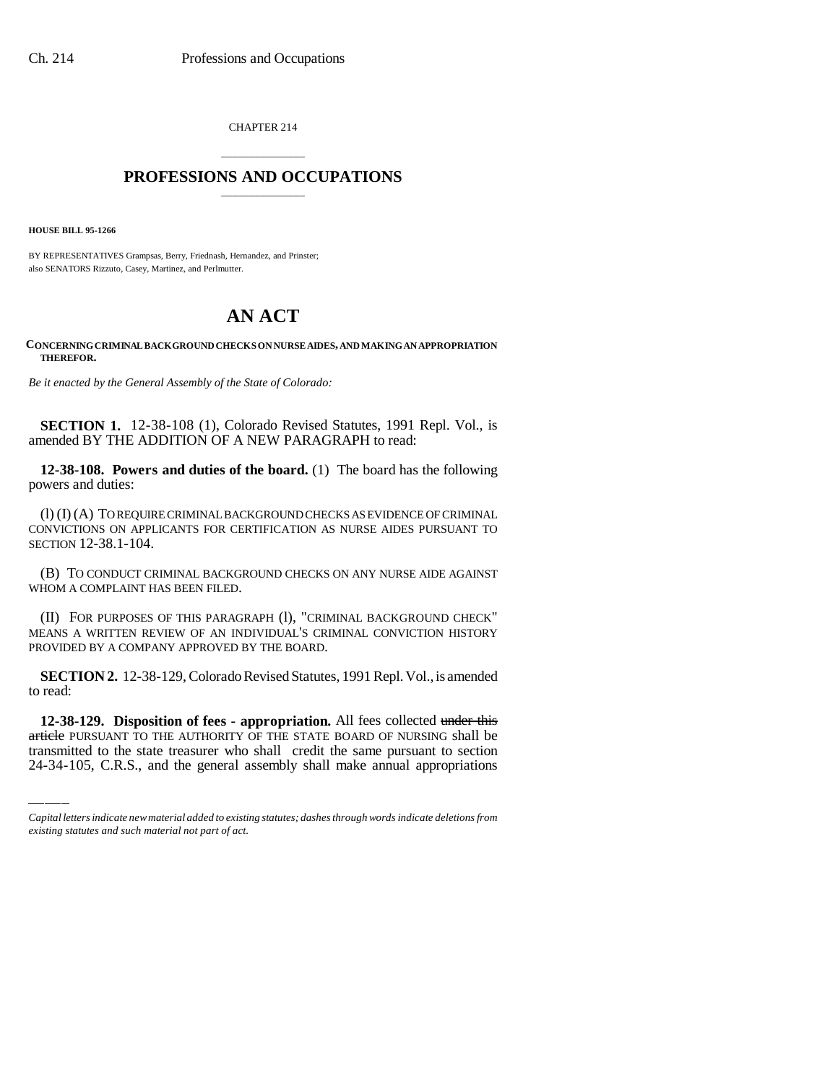CHAPTER 214

## \_\_\_\_\_\_\_\_\_\_\_\_\_\_\_ **PROFESSIONS AND OCCUPATIONS** \_\_\_\_\_\_\_\_\_\_\_\_\_\_\_

**HOUSE BILL 95-1266**

BY REPRESENTATIVES Grampsas, Berry, Friednash, Hernandez, and Prinster; also SENATORS Rizzuto, Casey, Martinez, and Perlmutter.

## **AN ACT**

## **CONCERNING CRIMINAL BACKGROUND CHECKS ON NURSE AIDES, AND MAKING AN APPROPRIATION THEREFOR.**

*Be it enacted by the General Assembly of the State of Colorado:*

**SECTION 1.** 12-38-108 (1), Colorado Revised Statutes, 1991 Repl. Vol., is amended BY THE ADDITION OF A NEW PARAGRAPH to read:

**12-38-108. Powers and duties of the board.** (1) The board has the following powers and duties:

(l) (I) (A) TO REQUIRE CRIMINAL BACKGROUND CHECKS AS EVIDENCE OF CRIMINAL CONVICTIONS ON APPLICANTS FOR CERTIFICATION AS NURSE AIDES PURSUANT TO SECTION 12-38.1-104.

(B) TO CONDUCT CRIMINAL BACKGROUND CHECKS ON ANY NURSE AIDE AGAINST WHOM A COMPLAINT HAS BEEN FILED.

(II) FOR PURPOSES OF THIS PARAGRAPH (l), "CRIMINAL BACKGROUND CHECK" MEANS A WRITTEN REVIEW OF AN INDIVIDUAL'S CRIMINAL CONVICTION HISTORY PROVIDED BY A COMPANY APPROVED BY THE BOARD.

to read: **SECTION 2.** 12-38-129, Colorado Revised Statutes, 1991 Repl. Vol., is amended

**12-38-129. Disposition of fees - appropriation.** All fees collected under this article PURSUANT TO THE AUTHORITY OF THE STATE BOARD OF NURSING shall be transmitted to the state treasurer who shall credit the same pursuant to section 24-34-105, C.R.S., and the general assembly shall make annual appropriations

*Capital letters indicate new material added to existing statutes; dashes through words indicate deletions from existing statutes and such material not part of act.*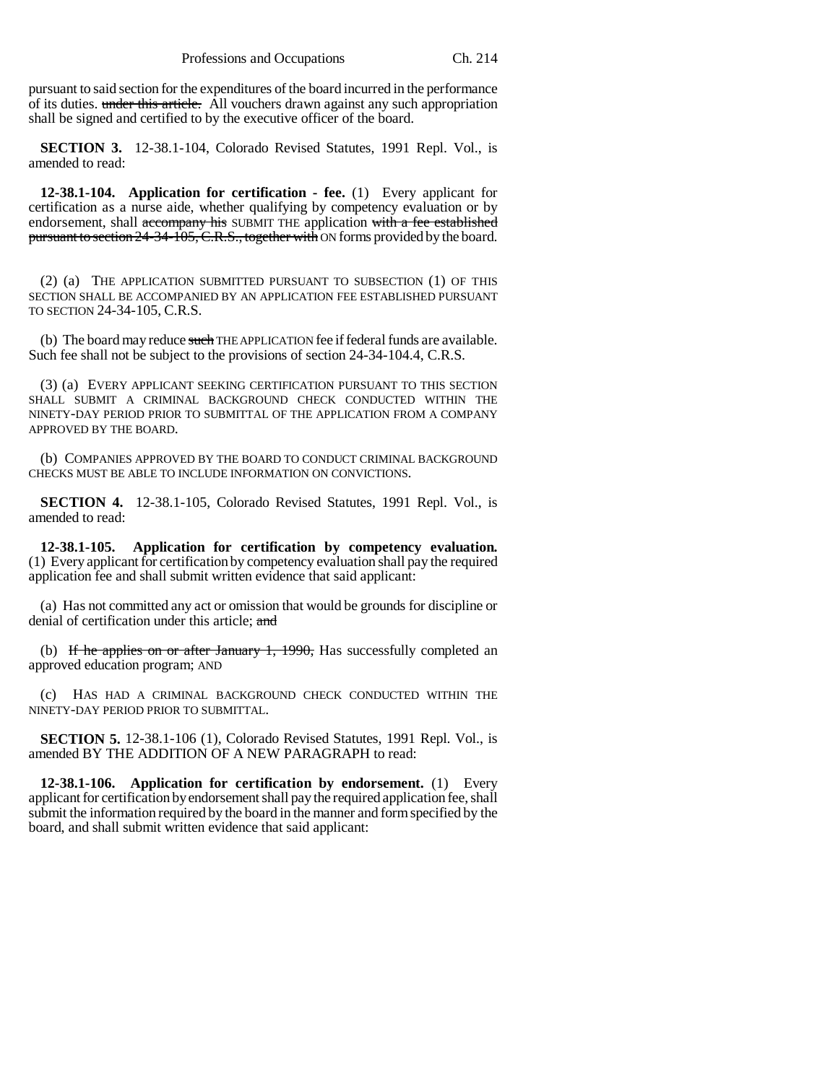pursuant to said section for the expenditures of the board incurred in the performance of its duties. under this article. All vouchers drawn against any such appropriation shall be signed and certified to by the executive officer of the board.

**SECTION 3.** 12-38.1-104, Colorado Revised Statutes, 1991 Repl. Vol., is amended to read:

**12-38.1-104. Application for certification - fee.** (1) Every applicant for certification as a nurse aide, whether qualifying by competency evaluation or by endorsement, shall accompany his SUBMIT THE application with a fee established pursuant to section 24-34-105, C.R.S., together with ON forms provided by the board.

(2) (a) THE APPLICATION SUBMITTED PURSUANT TO SUBSECTION (1) OF THIS SECTION SHALL BE ACCOMPANIED BY AN APPLICATION FEE ESTABLISHED PURSUANT TO SECTION 24-34-105, C.R.S.

(b) The board may reduce such THE APPLICATION fee if federal funds are available. Such fee shall not be subject to the provisions of section 24-34-104.4, C.R.S.

(3) (a) EVERY APPLICANT SEEKING CERTIFICATION PURSUANT TO THIS SECTION SHALL SUBMIT A CRIMINAL BACKGROUND CHECK CONDUCTED WITHIN THE NINETY-DAY PERIOD PRIOR TO SUBMITTAL OF THE APPLICATION FROM A COMPANY APPROVED BY THE BOARD.

(b) COMPANIES APPROVED BY THE BOARD TO CONDUCT CRIMINAL BACKGROUND CHECKS MUST BE ABLE TO INCLUDE INFORMATION ON CONVICTIONS.

**SECTION 4.** 12-38.1-105, Colorado Revised Statutes, 1991 Repl. Vol., is amended to read:

**12-38.1-105. Application for certification by competency evaluation.** (1) Every applicant for certification by competency evaluation shall pay the required application fee and shall submit written evidence that said applicant:

(a) Has not committed any act or omission that would be grounds for discipline or denial of certification under this article; and

(b) If he applies on or after January  $1, 1990$ , Has successfully completed an approved education program; AND

(c) HAS HAD A CRIMINAL BACKGROUND CHECK CONDUCTED WITHIN THE NINETY-DAY PERIOD PRIOR TO SUBMITTAL.

**SECTION 5.** 12-38.1-106 (1), Colorado Revised Statutes, 1991 Repl. Vol., is amended BY THE ADDITION OF A NEW PARAGRAPH to read:

**12-38.1-106. Application for certification by endorsement.** (1) Every applicant for certification by endorsement shall pay the required application fee, shall submit the information required by the board in the manner and form specified by the board, and shall submit written evidence that said applicant: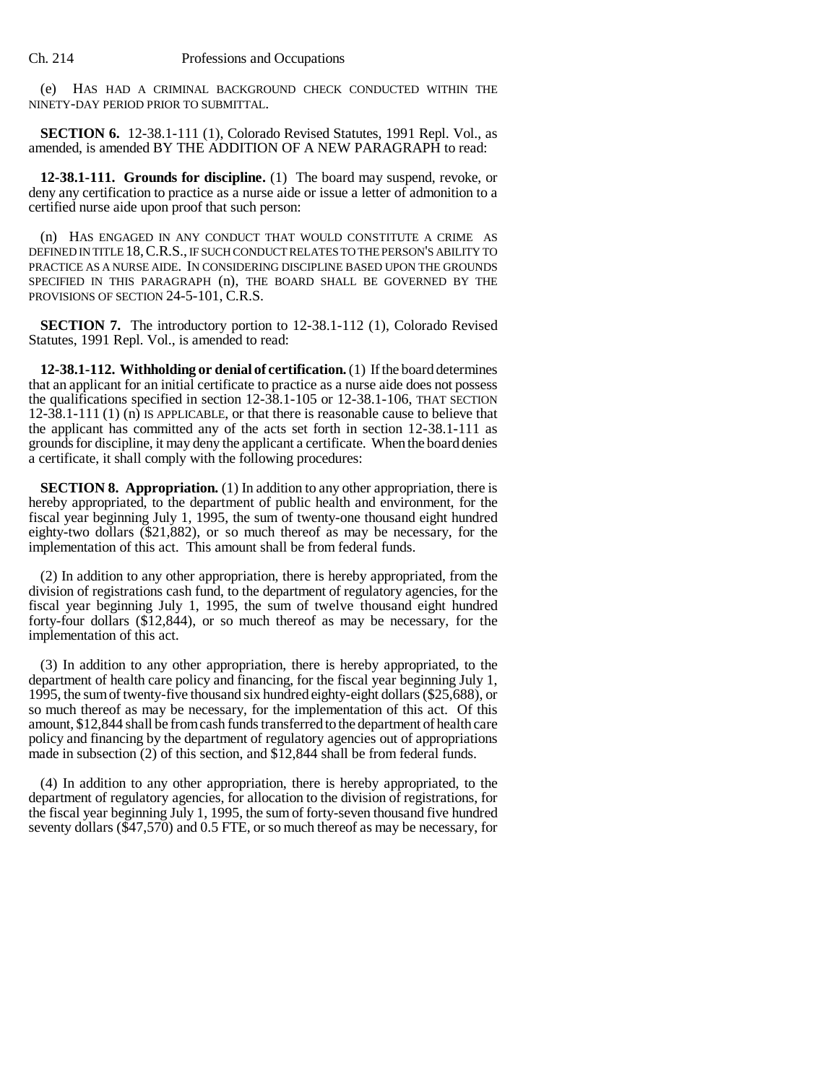(e) HAS HAD A CRIMINAL BACKGROUND CHECK CONDUCTED WITHIN THE NINETY-DAY PERIOD PRIOR TO SUBMITTAL.

**SECTION 6.** 12-38.1-111 (1), Colorado Revised Statutes, 1991 Repl. Vol., as amended, is amended BY THE ADDITION OF A NEW PARAGRAPH to read:

**12-38.1-111. Grounds for discipline.** (1) The board may suspend, revoke, or deny any certification to practice as a nurse aide or issue a letter of admonition to a certified nurse aide upon proof that such person:

(n) HAS ENGAGED IN ANY CONDUCT THAT WOULD CONSTITUTE A CRIME AS DEFINED IN TITLE 18,C.R.S., IF SUCH CONDUCT RELATES TO THE PERSON'S ABILITY TO PRACTICE AS A NURSE AIDE. IN CONSIDERING DISCIPLINE BASED UPON THE GROUNDS SPECIFIED IN THIS PARAGRAPH (n), THE BOARD SHALL BE GOVERNED BY THE PROVISIONS OF SECTION 24-5-101, C.R.S.

**SECTION 7.** The introductory portion to 12-38.1-112 (1), Colorado Revised Statutes, 1991 Repl. Vol., is amended to read:

**12-38.1-112. Withholding or denial of certification.** (1) If the board determines that an applicant for an initial certificate to practice as a nurse aide does not possess the qualifications specified in section 12-38.1-105 or 12-38.1-106, THAT SECTION 12-38.1-111 (1) (n) IS APPLICABLE, or that there is reasonable cause to believe that the applicant has committed any of the acts set forth in section 12-38.1-111 as grounds for discipline, it may deny the applicant a certificate. When the board denies a certificate, it shall comply with the following procedures:

**SECTION 8. Appropriation.** (1) In addition to any other appropriation, there is hereby appropriated, to the department of public health and environment, for the fiscal year beginning July 1, 1995, the sum of twenty-one thousand eight hundred eighty-two dollars (\$21,882), or so much thereof as may be necessary, for the implementation of this act. This amount shall be from federal funds.

(2) In addition to any other appropriation, there is hereby appropriated, from the division of registrations cash fund, to the department of regulatory agencies, for the fiscal year beginning July 1, 1995, the sum of twelve thousand eight hundred forty-four dollars (\$12,844), or so much thereof as may be necessary, for the implementation of this act.

(3) In addition to any other appropriation, there is hereby appropriated, to the department of health care policy and financing, for the fiscal year beginning July 1, 1995, the sum of twenty-five thousand six hundred eighty-eight dollars (\$25,688), or so much thereof as may be necessary, for the implementation of this act. Of this amount, \$12,844 shall be from cash funds transferred to the department of health care policy and financing by the department of regulatory agencies out of appropriations made in subsection (2) of this section, and \$12,844 shall be from federal funds.

(4) In addition to any other appropriation, there is hereby appropriated, to the department of regulatory agencies, for allocation to the division of registrations, for the fiscal year beginning July 1, 1995, the sum of forty-seven thousand five hundred seventy dollars (\$47,570) and 0.5 FTE, or so much thereof as may be necessary, for